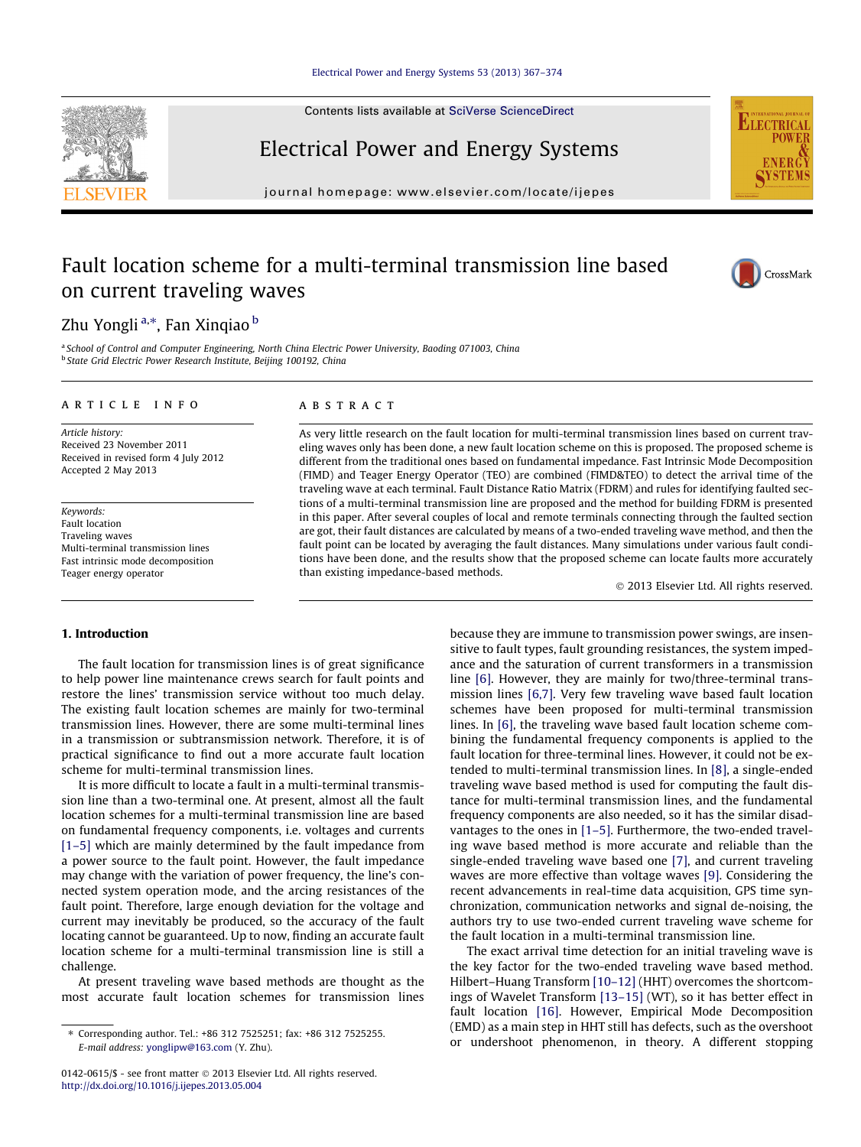#### [Electrical Power and Energy Systems 53 \(2013\) 367–374](http://dx.doi.org/10.1016/j.ijepes.2013.05.004)

Contents lists available at [SciVerse ScienceDirect](http://www.sciencedirect.com/science/journal/01420615)

## Electrical Power and Energy Systems

journal homepage: [www.elsevier.com/locate/ijepes](http://www.elsevier.com/locate/ijepes)

## Fault location scheme for a multi-terminal transmission line based on current traveling waves

### Zhu Yongli <sup>a,</sup>\*, Fan Xinqiao <sup>b</sup>

<sup>a</sup> School of Control and Computer Engineering, North China Electric Power University, Baoding 071003, China **b** State Grid Electric Power Research Institute, Beijing 100192, China

#### article info

Article history: Received 23 November 2011 Received in revised form 4 July 2012 Accepted 2 May 2013

Keywords: Fault location Traveling waves Multi-terminal transmission lines Fast intrinsic mode decomposition Teager energy operator

#### ABSTRACT

As very little research on the fault location for multi-terminal transmission lines based on current traveling waves only has been done, a new fault location scheme on this is proposed. The proposed scheme is different from the traditional ones based on fundamental impedance. Fast Intrinsic Mode Decomposition (FIMD) and Teager Energy Operator (TEO) are combined (FIMD&TEO) to detect the arrival time of the traveling wave at each terminal. Fault Distance Ratio Matrix (FDRM) and rules for identifying faulted sections of a multi-terminal transmission line are proposed and the method for building FDRM is presented in this paper. After several couples of local and remote terminals connecting through the faulted section are got, their fault distances are calculated by means of a two-ended traveling wave method, and then the fault point can be located by averaging the fault distances. Many simulations under various fault conditions have been done, and the results show that the proposed scheme can locate faults more accurately than existing impedance-based methods.

- 2013 Elsevier Ltd. All rights reserved.

#### 1. Introduction

The fault location for transmission lines is of great significance to help power line maintenance crews search for fault points and restore the lines' transmission service without too much delay. The existing fault location schemes are mainly for two-terminal transmission lines. However, there are some multi-terminal lines in a transmission or subtransmission network. Therefore, it is of practical significance to find out a more accurate fault location scheme for multi-terminal transmission lines.

It is more difficult to locate a fault in a multi-terminal transmission line than a two-terminal one. At present, almost all the fault location schemes for a multi-terminal transmission line are based on fundamental frequency components, i.e. voltages and currents [\[1–5\]](#page--1-0) which are mainly determined by the fault impedance from a power source to the fault point. However, the fault impedance may change with the variation of power frequency, the line's connected system operation mode, and the arcing resistances of the fault point. Therefore, large enough deviation for the voltage and current may inevitably be produced, so the accuracy of the fault locating cannot be guaranteed. Up to now, finding an accurate fault location scheme for a multi-terminal transmission line is still a challenge.

At present traveling wave based methods are thought as the most accurate fault location schemes for transmission lines because they are immune to transmission power swings, are insensitive to fault types, fault grounding resistances, the system impedance and the saturation of current transformers in a transmission line [\[6\].](#page--1-0) However, they are mainly for two/three-terminal transmission lines [\[6,7\].](#page--1-0) Very few traveling wave based fault location schemes have been proposed for multi-terminal transmission lines. In [\[6\]](#page--1-0), the traveling wave based fault location scheme combining the fundamental frequency components is applied to the fault location for three-terminal lines. However, it could not be extended to multi-terminal transmission lines. In [\[8\],](#page--1-0) a single-ended traveling wave based method is used for computing the fault distance for multi-terminal transmission lines, and the fundamental frequency components are also needed, so it has the similar disadvantages to the ones in [\[1–5\]](#page--1-0). Furthermore, the two-ended traveling wave based method is more accurate and reliable than the single-ended traveling wave based one [\[7\],](#page--1-0) and current traveling waves are more effective than voltage waves [\[9\].](#page--1-0) Considering the recent advancements in real-time data acquisition, GPS time synchronization, communication networks and signal de-noising, the authors try to use two-ended current traveling wave scheme for the fault location in a multi-terminal transmission line.

The exact arrival time detection for an initial traveling wave is the key factor for the two-ended traveling wave based method. Hilbert–Huang Transform [\[10–12\]](#page--1-0) (HHT) overcomes the shortcomings of Wavelet Transform [\[13–15\]](#page--1-0) (WT), so it has better effect in fault location [\[16\].](#page--1-0) However, Empirical Mode Decomposition (EMD) as a main step in HHT still has defects, such as the overshoot or undershoot phenomenon, in theory. A different stopping





**ELECTRICA STE** 

<sup>⇑</sup> Corresponding author. Tel.: +86 312 7525251; fax: +86 312 7525255. E-mail address: [yonglipw@163.com](mailto:yonglipw@163.com) (Y. Zhu).

<sup>0142-0615/\$ -</sup> see front matter © 2013 Elsevier Ltd. All rights reserved. <http://dx.doi.org/10.1016/j.ijepes.2013.05.004>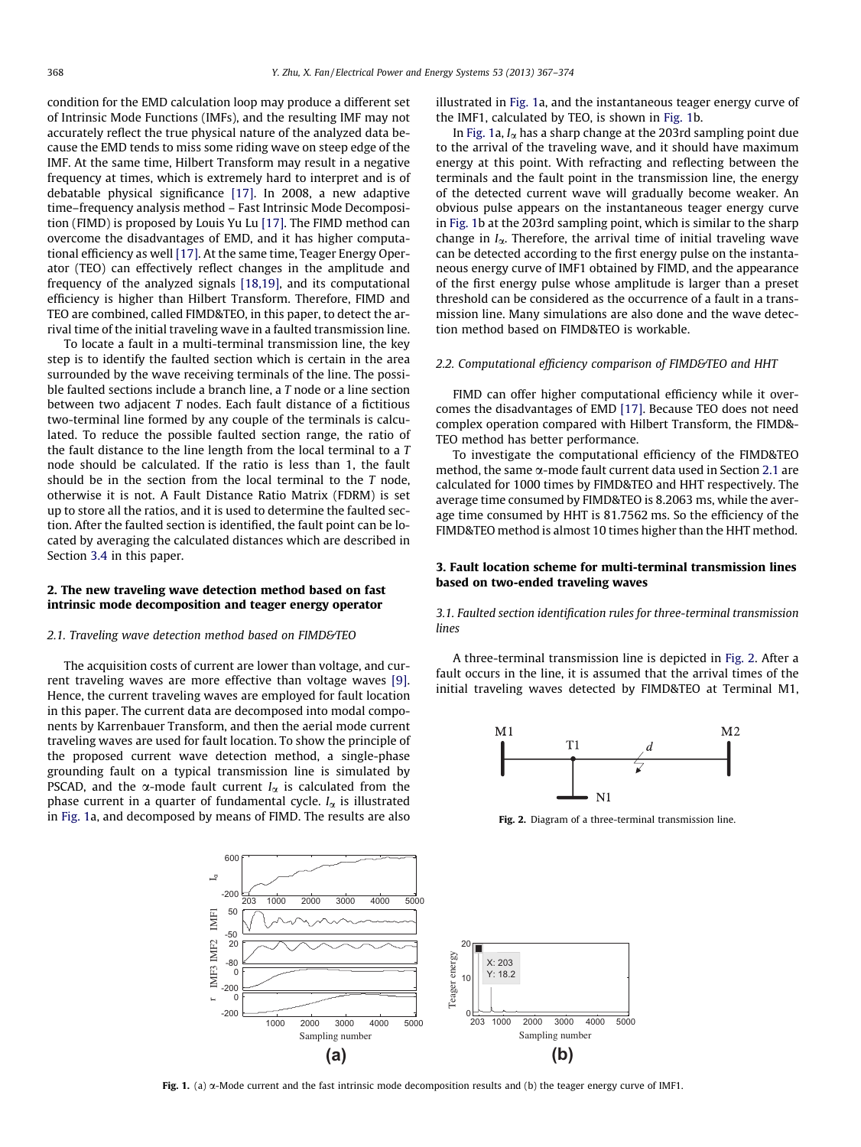condition for the EMD calculation loop may produce a different set of Intrinsic Mode Functions (IMFs), and the resulting IMF may not accurately reflect the true physical nature of the analyzed data because the EMD tends to miss some riding wave on steep edge of the IMF. At the same time, Hilbert Transform may result in a negative frequency at times, which is extremely hard to interpret and is of debatable physical significance [\[17\].](#page--1-0) In 2008, a new adaptive time–frequency analysis method – Fast Intrinsic Mode Decomposition (FIMD) is proposed by Louis Yu Lu [\[17\]](#page--1-0). The FIMD method can overcome the disadvantages of EMD, and it has higher computational efficiency as well [\[17\]](#page--1-0). At the same time, Teager Energy Operator (TEO) can effectively reflect changes in the amplitude and frequency of the analyzed signals [\[18,19\]](#page--1-0), and its computational efficiency is higher than Hilbert Transform. Therefore, FIMD and TEO are combined, called FIMD&TEO, in this paper, to detect the arrival time of the initial traveling wave in a faulted transmission line.

To locate a fault in a multi-terminal transmission line, the key step is to identify the faulted section which is certain in the area surrounded by the wave receiving terminals of the line. The possible faulted sections include a branch line, a T node or a line section between two adjacent T nodes. Each fault distance of a fictitious two-terminal line formed by any couple of the terminals is calculated. To reduce the possible faulted section range, the ratio of the fault distance to the line length from the local terminal to a T node should be calculated. If the ratio is less than 1, the fault should be in the section from the local terminal to the  $T$  node, otherwise it is not. A Fault Distance Ratio Matrix (FDRM) is set up to store all the ratios, and it is used to determine the faulted section. After the faulted section is identified, the fault point can be located by averaging the calculated distances which are described in Section [3.4](#page--1-0) in this paper.

#### 2. The new traveling wave detection method based on fast intrinsic mode decomposition and teager energy operator

#### 2.1. Traveling wave detection method based on FIMD&TEO

The acquisition costs of current are lower than voltage, and current traveling waves are more effective than voltage waves [\[9\].](#page--1-0) Hence, the current traveling waves are employed for fault location in this paper. The current data are decomposed into modal components by Karrenbauer Transform, and then the aerial mode current traveling waves are used for fault location. To show the principle of the proposed current wave detection method, a single-phase grounding fault on a typical transmission line is simulated by PSCAD, and the  $\alpha$ -mode fault current  $I_{\alpha}$  is calculated from the phase current in a quarter of fundamental cycle.  $I_{\alpha}$  is illustrated in Fig. 1a, and decomposed by means of FIMD. The results are also illustrated in Fig. 1a, and the instantaneous teager energy curve of the IMF1, calculated by TEO, is shown in Fig. 1b.

In Fig. 1a,  $I_{\alpha}$  has a sharp change at the 203rd sampling point due to the arrival of the traveling wave, and it should have maximum energy at this point. With refracting and reflecting between the terminals and the fault point in the transmission line, the energy of the detected current wave will gradually become weaker. An obvious pulse appears on the instantaneous teager energy curve in Fig. 1b at the 203rd sampling point, which is similar to the sharp change in  $I_{\alpha}$ . Therefore, the arrival time of initial traveling wave can be detected according to the first energy pulse on the instantaneous energy curve of IMF1 obtained by FIMD, and the appearance of the first energy pulse whose amplitude is larger than a preset threshold can be considered as the occurrence of a fault in a transmission line. Many simulations are also done and the wave detection method based on FIMD&TEO is workable.

#### 2.2. Computational efficiency comparison of FIMD&TEO and HHT

FIMD can offer higher computational efficiency while it overcomes the disadvantages of EMD [\[17\].](#page--1-0) Because TEO does not need complex operation compared with Hilbert Transform, the FIMD&- TEO method has better performance.

To investigate the computational efficiency of the FIMD&TEO method, the same  $\alpha$ -mode fault current data used in Section 2.1 are calculated for 1000 times by FIMD&TEO and HHT respectively. The average time consumed by FIMD&TEO is 8.2063 ms, while the average time consumed by HHT is 81.7562 ms. So the efficiency of the FIMD&TEO method is almost 10 times higher than the HHT method.

#### 3. Fault location scheme for multi-terminal transmission lines based on two-ended traveling waves

3.1. Faulted section identification rules for three-terminal transmission lines

A three-terminal transmission line is depicted in Fig. 2. After a fault occurs in the line, it is assumed that the arrival times of the initial traveling waves detected by FIMD&TEO at Terminal M1,



Fig. 2. Diagram of a three-terminal transmission line.



Fig. 1. (a)  $\alpha$ -Mode current and the fast intrinsic mode decomposition results and (b) the teager energy curve of IMF1.